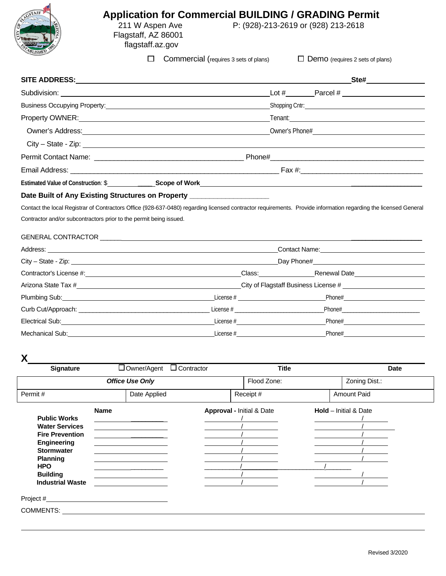

## **Application for Commercial BUILDING / GRADING Permit**<br>211 W Aspen Ave P: (928)-213-2619 or (928) 213-2618 P: (928)-213-2619 or (928) 213-2618

 Flagstaff, AZ 86001 flagstaff.az.gov

 $\Box$  Commercial (requires 3 sets of plans)  $\Box$  Demo (requires 2 sets of plans)

|                                                                                                                                                                                                                                      | Ste#                                                                                                                                                                                                                           |  |
|--------------------------------------------------------------------------------------------------------------------------------------------------------------------------------------------------------------------------------------|--------------------------------------------------------------------------------------------------------------------------------------------------------------------------------------------------------------------------------|--|
|                                                                                                                                                                                                                                      | Lot # Parcel # Parcel #                                                                                                                                                                                                        |  |
|                                                                                                                                                                                                                                      |                                                                                                                                                                                                                                |  |
| Property OWNER: <u>contract and a series of the series of the series of the series of the series of the series of the series of the series of the series of the series of the series of the series of the series of the series o</u> | Tenant: The Contract of the Contract of the Contract of the Contract of the Contract of the Contract of the Contract of the Contract of the Contract of the Contract of the Contract of the Contract of the Contract of the Co |  |
|                                                                                                                                                                                                                                      | Owner's Address: Notice and the Company of the Company of the Company of the Company of the Company of the Company of the Company of the Company of the Company of the Company of the Company of the Company of the Company of |  |
| $City - State - Zip: __________$                                                                                                                                                                                                     |                                                                                                                                                                                                                                |  |
|                                                                                                                                                                                                                                      |                                                                                                                                                                                                                                |  |
|                                                                                                                                                                                                                                      |                                                                                                                                                                                                                                |  |
|                                                                                                                                                                                                                                      | Estimated Value of Construction: \$____________________Scope of Work_________________________________                                                                                                                          |  |
| Date Built of Any Existing Structures on Property __________________                                                                                                                                                                 |                                                                                                                                                                                                                                |  |

Contact the local Registrar of Contractors Office (928-637-0480) regarding licensed contractor requirements. Provide information regarding the licensed General Contractor and/or subcontractors prior to the permit being issued.

#### GENERAL CONTRACTOR \_\_\_

|                                                                                                                                                                                                                                             | Contact Name: Contact Name:          |                            |  |  |  |
|---------------------------------------------------------------------------------------------------------------------------------------------------------------------------------------------------------------------------------------------|--------------------------------------|----------------------------|--|--|--|
|                                                                                                                                                                                                                                             | Day Phone#<br><u> Letter</u>         |                            |  |  |  |
|                                                                                                                                                                                                                                             | Class: Renewal Date                  |                            |  |  |  |
|                                                                                                                                                                                                                                             | City of Flagstaff Business License # |                            |  |  |  |
|                                                                                                                                                                                                                                             |                                      | Phone# 2000                |  |  |  |
|                                                                                                                                                                                                                                             |                                      | Phone# <b>Example</b> 2014 |  |  |  |
| Electrical Sub:<br><u> Electrical Sub:</u>                                                                                                                                                                                                  | License $#$                          | Phone#                     |  |  |  |
| Mechanical Sub: the control of the control of the control of the control of the control of the control of the control of the control of the control of the control of the control of the control of the control of the control<br>License # |                                      | Phone#                     |  |  |  |

**X**

| <b>Signature</b>                                                                                                                                   | $\Box$ Owner/Agent $\Box$ Contractor | <b>Title</b>              | <b>Date</b>                    |
|----------------------------------------------------------------------------------------------------------------------------------------------------|--------------------------------------|---------------------------|--------------------------------|
|                                                                                                                                                    | <b>Office Use Only</b>               | Flood Zone:               | Zoning Dist.:                  |
| Permit#                                                                                                                                            | Date Applied                         | Receipt #                 | Amount Paid                    |
| <b>Public Works</b><br><b>Water Services</b><br><b>Fire Prevention</b><br><b>Engineering</b><br><b>Stormwater</b><br><b>Planning</b><br><b>HPO</b> | <b>Name</b>                          | Approval - Initial & Date | <b>Hold</b> $-$ Initial & Date |
| <b>Building</b><br><b>Industrial Waste</b><br>Project #<br>COMMENTS:                                                                               |                                      |                           |                                |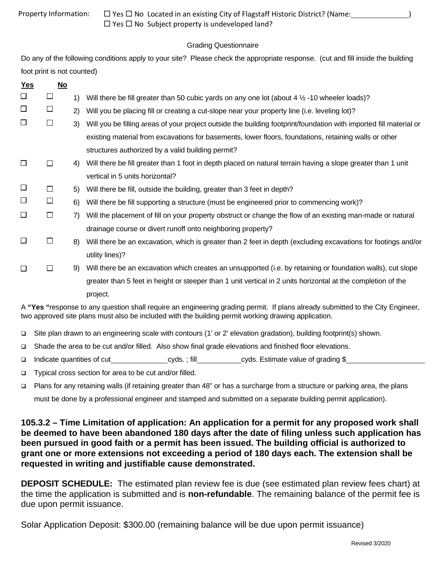|  | Property Information: |
|--|-----------------------|
|--|-----------------------|

 $\Box$  Yes  $\Box$  No Located in an existing City of Flagstaff Historic District? (Name:  $\Box$  )  $\Box$  Yes  $\Box$  No Subject property is undeveloped land?

### Grading Questionnaire

Do any of the following conditions apply to your site? Please check the appropriate response. (cut and fill inside the building foot print is not counted)

| <b>Yes</b>                                                                                                                                                                                                                            | <u>No</u> |    |                                                                                                                    |  |  |
|---------------------------------------------------------------------------------------------------------------------------------------------------------------------------------------------------------------------------------------|-----------|----|--------------------------------------------------------------------------------------------------------------------|--|--|
| $\Box$                                                                                                                                                                                                                                | $\Box$    | 1) | Will there be fill greater than 50 cubic yards on any one lot (about 4 1/2 -10 wheeler loads)?                     |  |  |
| $\Box$                                                                                                                                                                                                                                | □         | 2) | Will you be placing fill or creating a cut-slope near your property line (i.e. leveling lot)?                      |  |  |
| $\Box$                                                                                                                                                                                                                                | $\Box$    | 3) | Will you be filling areas of your project outside the building footprint/foundation with imported fill material or |  |  |
|                                                                                                                                                                                                                                       |           |    | existing material from excavations for basements, lower floors, foundations, retaining walls or other              |  |  |
|                                                                                                                                                                                                                                       |           |    | structures authorized by a valid building permit?                                                                  |  |  |
| $\Box$                                                                                                                                                                                                                                | □         | 4) | Will there be fill greater than 1 foot in depth placed on natural terrain having a slope greater than 1 unit       |  |  |
|                                                                                                                                                                                                                                       |           |    | vertical in 5 units horizontal?                                                                                    |  |  |
| $\Box$                                                                                                                                                                                                                                | □         | 5) | Will there be fill, outside the building, greater than 3 feet in depth?                                            |  |  |
| $\Box$                                                                                                                                                                                                                                | $\Box$    | 6) | Will there be fill supporting a structure (must be engineered prior to commencing work)?                           |  |  |
| $\Box$                                                                                                                                                                                                                                | $\Box$    | 7) | Will the placement of fill on your property obstruct or change the flow of an existing man-made or natural         |  |  |
|                                                                                                                                                                                                                                       |           |    | drainage course or divert runoff onto neighboring property?                                                        |  |  |
| $\Box$                                                                                                                                                                                                                                | □         | 8) | Will there be an excavation, which is greater than 2 feet in depth (excluding excavations for footings and/or      |  |  |
|                                                                                                                                                                                                                                       |           |    | utility lines)?                                                                                                    |  |  |
| $\Box$                                                                                                                                                                                                                                | $\Box$    | 9) | Will there be an excavation which creates an unsupported (i.e. by retaining or foundation walls), cut slope        |  |  |
|                                                                                                                                                                                                                                       |           |    | greater than 5 feet in height or steeper than 1 unit vertical in 2 units horizontal at the completion of the       |  |  |
|                                                                                                                                                                                                                                       |           |    | project.                                                                                                           |  |  |
| A "Yes "response to any question shall require an engineering grading permit. If plans already submitted to the City Engineer,<br>two approved site plans must also be included with the building permit working drawing application. |           |    |                                                                                                                    |  |  |

- Site plan drawn to an engineering scale with contours (1' or 2' elevation gradation), building footprint(s) shown.
- Shade the area to be cut and/or filled. Also show final grade elevations and finished floor elevations.
- □ Indicate quantities of cut cyds. ; fill cyds. Estimate value of grading \$
- □ Typical cross section for area to be cut and/or filled.
- Plans for any retaining walls (if retaining greater than 48" or has a surcharge from a structure or parking area, the plans must be done by a professional engineer and stamped and submitted on a separate building permit application).

**105.3.2 – Time Limitation of application: An application for a permit for any proposed work shall be deemed to have been abandoned 180 days after the date of filing unless such application has been pursued in good faith or a permit has been issued. The building official is authorized to grant one or more extensions not exceeding a period of 180 days each. The extension shall be requested in writing and justifiable cause demonstrated.** 

**DEPOSIT SCHEDULE:** The estimated plan review fee is due (see estimated plan review fees chart) at the time the application is submitted and is **non-refundable**. The remaining balance of the permit fee is due upon permit issuance.

Solar Application Deposit: \$300.00 (remaining balance will be due upon permit issuance)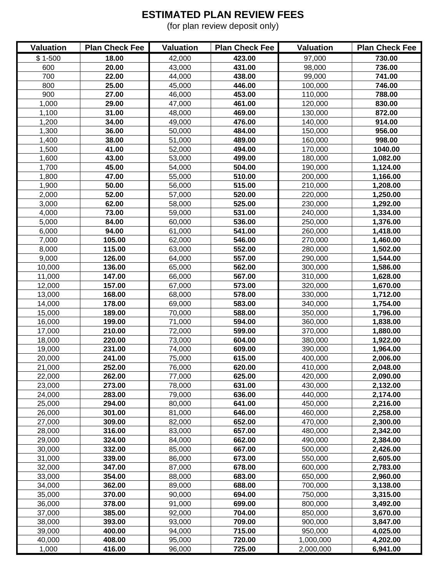## **ESTIMATED PLAN REVIEW FEES**

(for plan review deposit only)

| <b>Valuation</b> | <b>Plan Check Fee</b> | <b>Valuation</b> | <b>Plan Check Fee</b> | <b>Valuation</b> | <b>Plan Check Fee</b> |
|------------------|-----------------------|------------------|-----------------------|------------------|-----------------------|
| $$1-500$         | 18.00                 | 42,000           | 423.00                | 97,000           | 730.00                |
| 600              | 20.00                 | 43,000           | 431.00                | 98,000           | 736.00                |
| 700              | 22.00                 | 44,000           | 438.00                | 99,000           | 741.00                |
| 800              | 25.00                 | 45,000           | 446.00                | 100,000          | 746.00                |
| 900              | 27.00                 | 46,000           | 453.00                | 110,000          | 788.00                |
| 1,000            | 29.00                 | 47,000           | 461.00                | 120,000          | 830.00                |
| 1,100            | 31.00                 | 48,000           | 469.00                | 130,000          | 872.00                |
| 1,200            | 34.00                 | 49,000           | 476.00                | 140,000          | 914.00                |
| 1,300            | 36.00                 | 50,000           | 484.00                | 150,000          | 956.00                |
| 1,400            | 38.00                 | 51,000           | 489.00                | 160,000          | 998.00                |
| 1,500            | 41.00                 | 52,000           | 494.00                | 170,000          | 1040.00               |
| 1,600            | 43.00                 | 53,000           | 499.00                | 180,000          | 1,082.00              |
| 1,700            | 45.00                 | 54,000           | 504.00                | 190,000          | 1,124.00              |
| 1,800            | 47.00                 | 55,000           | 510.00                | 200,000          | 1,166.00              |
| 1,900            | 50.00                 | 56,000           | 515.00                | 210,000          | 1,208.00              |
| 2,000            | 52.00                 | 57,000           | 520.00                | 220,000          | 1,250.00              |
| 3,000            | 62.00                 | 58,000           | 525.00                | 230,000          | 1,292.00              |
| 4,000            | 73.00                 | 59,000           | 531.00                | 240,000          | 1,334.00              |
| 5,000            | 84.00                 | 60,000           | 536.00                | 250,000          | 1,376.00              |
| 6,000            | 94.00                 | 61,000           | 541.00                | 260,000          | 1,418.00              |
| 7,000            | 105.00                | 62,000           | 546.00                | 270,000          | 1,460.00              |
| 8,000            | 115.00                | 63,000           | 552.00                | 280,000          | 1,502.00              |
| 9,000            | 126.00                | 64,000           | 557.00                | 290,000          | 1,544.00              |
| 10,000           | 136.00                | 65,000           | 562.00                | 300,000          | 1,586.00              |
| 11,000           | 147.00                | 66,000           | 567.00                | 310,000          | 1,628.00              |
| 12,000           | 157.00                | 67,000           | 573.00                | 320,000          | 1,670.00              |
| 13,000           | 168.00                | 68,000           | 578.00                | 330,000          | 1,712.00              |
| 14,000           | 178.00                | 69,000           | 583.00                | 340,000          | 1,754.00              |
| 15,000           | 189.00                | 70,000           | 588.00                | 350,000          | 1,796.00              |
| 16,000           | 199.00                | 71,000           | 594.00                | 360,000          | 1,838.00              |
| 17,000           | 210.00                | 72,000           | 599.00                | 370,000          | 1,880.00              |
| 18,000           | 220.00                | 73,000           | 604.00                | 380,000          | 1,922.00              |
| 19,000           | 231.00                | 74,000           | 609.00                | 390,000          | 1,964.00              |
| 20,000           | 241.00                | 75,000           | 615.00                | 400,000          | 2,006.00              |
| 21,000           | 252.00                | 76,000           | 620.00                | 410,000          | 2,048.00              |
| 22,000           | 262.00                | 77,000           | 625.00                | 420,000          | 2,090.00              |
| 23,000           | 273.00                | 78,000           | 631.00                | 430,000          | 2,132.00              |
| 24,000           | 283.00                | 79,000           | 636.00                | 440,000          | 2,174.00              |
| 25,000           | 294.00                | 80,000           | 641.00                | 450,000          | 2,216.00              |
| 26,000           | 301.00                | 81,000           | 646.00                | 460,000          | 2,258.00              |
| 27,000           | 309.00                | 82,000           | 652.00                | 470,000          | 2,300.00              |
| 28,000           | 316.00                | 83,000           | 657.00                | 480,000          | 2,342.00              |
| 29,000           | 324.00                | 84,000           | 662.00                | 490,000          | 2,384.00              |
| 30,000           | 332.00                | 85,000           | 667.00                | 500,000          | 2,426.00              |
| 31,000           | 339.00                | 86,000           | 673.00                | 550,000          | 2,605.00              |
| 32,000           | 347.00                | 87,000           | 678.00                | 600,000          | 2,783.00              |
| 33,000           | 354.00                | 88,000           | 683.00                | 650,000          | 2,960.00              |
| 34,000           | 362.00                | 89,000           | 688.00                | 700,000          | 3,138.00              |
| 35,000           | 370.00                | 90,000           | 694.00                | 750,000          | 3,315.00              |
| 36,000           | 378.00                | 91,000           | 699.00                | 800,000          | 3,492.00              |
| 37,000           | 385.00                | 92,000           | 704.00                | 850,000          | 3,670.00              |
| 38,000           | 393.00                | 93,000           | 709.00                | 900,000          | 3,847.00              |
| 39,000           | 400.00                | 94,000           | 715.00                | 950,000          | 4,025.00              |
| 40,000           | 408.00                | 95,000           | 720.00                | 1,000,000        | 4,202.00              |
| 1,000            | 416.00                | 96,000           | 725.00                | 2,000,000        | 6,941.00              |